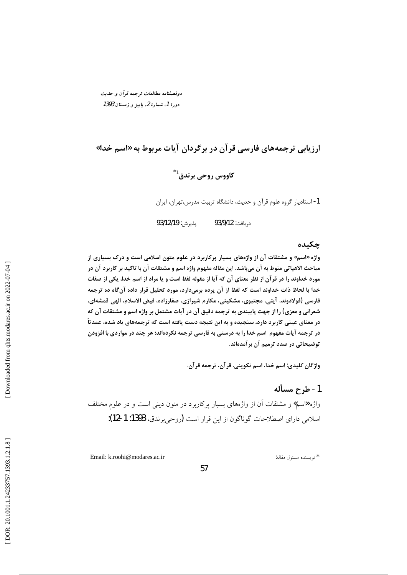دوفصلنامه مطالعات ترجمه قرأن و حديث دورهٔ 1، شمارهٔ 2، باییز و زمستان 1393

## ارزیابی ترجمههای فارسی قرآن در برگردان آیات مربوط به «اسم خدا»

# کاووس روحي برندق<sup>1\*</sup>

1- استادیار گروه علوم قرآن و حدیث، دانشگاه تربیت مدرس،تهران، ایران

يذيرش: 93/12/19 د, بافت: 93/9/12

#### جكىدە

واژه «اسم» و مشتقات آن از واژههای بسیار پرکاربرد در علوم متون اسلامی است و درک بسیاری از مباحث الاهیاتی منوط به آن میباشد. این مقاله مفهوم واژه اسم و مشتقات آن با تاکید بر کاربرد آن در مورد خداوند را در قرآن از نظر معنای آن که آیا از مقوله لفظ است و یا مراد از اسم خدا، یکی از صفات خدا با لحاظ ذات خداوند است که لفظ از آن پرده برمیدارد، مورد تحلیل قرار داده آنگاه ده ترجمه فارسی (فولادوند، آیتی، مجتبوی، مشکینی، مکارم شیرازی، صفارزاده، فیض الاسلام، الهی قمشهای، شعرانی و معزی) را از جهت پایبندی به ترجمه دقیق آن در آیات مشتمل بر واژه اسم و مشتقات آن که در معنای عینی کاربرد دارد، سنجیده و به این نتیجه دست یافته است که ترجمههای یاد شده، عمدتاً در ترجمه آیات مفهوم اسم خدا را به درستی به فارسی ترجمه نکردهاند؛ هر چند در مواردی با افزودن توضیحاتی در صدد ترمیم آن بر آمدهاند.

واژگان كليدي: اسم خدا، اسم تكويني، قرآن، ترجمه قرآن.

### 1- طرح مسأله

واژه «اسم» و مشتقات آن از واژههای بسیار پرکاربرد در متون دینی است و در علوم مختلف اسلامی دارای اصطلاحات گوناگون از این قرار است (روحی برندق، 1393: 1-12):

Email: k.roohi@modares.ac.ir

\* نويسنده مسئول مقاله: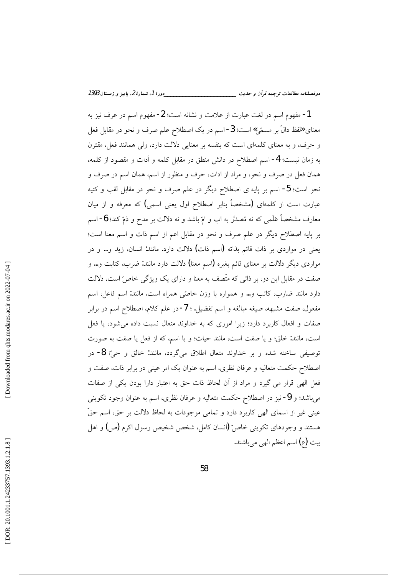1- مفهوم اسم در لغت عبارت از علامت و نشانه است؛ 2- مفهوم اسم در عرف نیز به معناي «لفظ دالٌ بر مسمّى» است؛ 3- اسم در يک اصطلاح علم صرف و نحو در مقابل فعل و حرف، و به معنای کلمهای است که بنفسه بر معنایی دلالت دارد، ولی همانند فعل، مقترن به زمان نیست؛ 4- اسم اصطلاح در دانش منطق در مقابل کلمه و اَدات و مقصود از کلمه، همان فعل در صرف و نحو، و مراد از ادات، حرف و منظور از اسم، همان اسم در صرف و نحو است؛ 5- اسم بر پایه ی اصطلاح دیگر در علم صرف و نحو در مقابل لقب و کنیه عبارت است از کلمهای (مشخصاً بنابر اصطلاح اول یعنی اسمی) که معرفه و از میان معارف مشخصاً عَلَمى كه نه مُصدَّر به اب و امّ باشد و نه دلالت بر مدح و ذمّ كند؛ 6- اسم بر پایه اصطلاح دیگر در علم صرف و نحو در مقابل اعم از اسم ذات و اسم معنا است؛ یعنی در مواردی بر ذات قائم بذاته (اسم ذات) دلالت دارد. مانند: انسان، زید و… و در مواردی دیگر دلالت بر معنای قائم بغیره (اسم معنا) دلالت دارد مانند: ضرب، کتابت و… و صفت در مقابل این دو، بر ذاتی که متّصف به معنا و دارای یک ویژگی خاصّ است، دلالت دارد مانند ضارب، كاتب و… و همواره با وزن خاصّى همراه است. مانند: اسم فاعل، اسم مفعول، صفت مشبهه، صیغه مبالغه و اسم تفضیل. ؛ 7-در علم کلام، اصطلاح اسم در برابر صفات و افعال کاربرد دارد؛ زیرا اموری که به خداوند متعال نسبت داده می شود، یا فعل است، مانند: خلق؛ و يا صفت است، مانند حيات؛ و يا اسم، كه از فعل يا صفت به صورت توصيفي ساخته شده و بر خداوند متعال اطلاق ميگردد، مانند: خالق و حيّ؛ 8- در اصطلاح حکمت متعالیه و عرفان نظری، اسم به عنوان یک امر عینی در برابر ذات، صفت و فعل الهي قرار مي گيرد و مراد از آن لحاظ ذات حق به اعتبار دارا بودن يكي از صفات میباشد؛ و 9- نیز در اصطلاح حکمت متعالیه و عرفان نظری، اسم به عنوان وجود تکوینی عینی غیر از اسمای الھی کاربرد دارد و تمامی موجودات به لحاظ دلالت بر حق، اسم حقَّ هستند و وجودهای تکوینی خاصّ (انسان کامل، شخص شخیص رسول اکرم (ص) و اهل بيت (ع) اسم اعظم الهي مي باشند.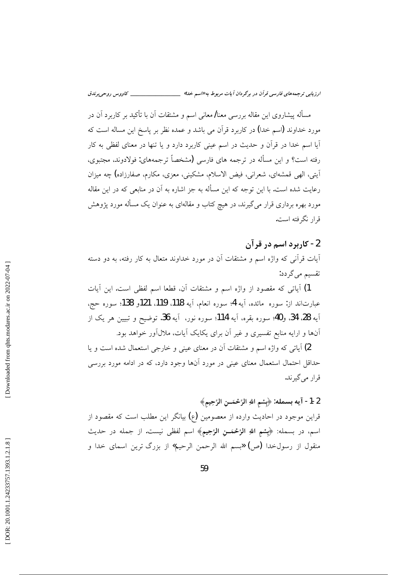مسأله پیشاروی این مقاله بررسی معنا/معانی اسم و مشتقات آن با تأکید بر کاربرد آن در مورد خداوند (اسم خدا) در کاربرد قرآن می باشد و عمده نظر بر پاسخ این مساله است که آیا اسم خدا در قرآن و حدیث در اسم عینی کاربرد دارد و یا تنها در معنای لفظی به کار رفته است؟ و این مسأله در ترجمه های فارسی (مشخصاً ترجمههای: فولادوند، مجتبوی، اَيتي، الهي قمشهاي، شعراني، فيض الاسلام، مشكيني، معزى، مكارم، صفارزاده) چه ميزان رعایت شده است. با این توجه که این مسأله به جز اشاره به اَن در منابعی که در این مقاله مورد بهره برداری قرار می گیرند، در هیچ کتاب و مقالهای به عنوان یک مسأله مورد پژوهش قرار نگرفته است.

### 2- کاربرد اسم در قرآن

آیات قرأنی که واژه اسم و مشتقات آن در مورد خداوند متعال به کار رفته، به دو دسته تقسیم مے گردد:

1) آیاتی که مقصود از واژه اسم و مشتقات آن، قطعا اسم لفظی است. این آیات عبارتاند از: سوره مائده، آيه 4؛ سوره انعام، آيه 118، 119. 121و 138؛ سوره حج، آيه 28، 34، و40؛ سوره بقره، آيه 114؛ سوره نور، آيه 36. توضيح و تبيين هر يک از آنها و ارایه منابع تفسیری و غیر آن برای یکایک آیات، ملالآور خواهد بود.

2) آیاتی که واژه اسم و مشتقات آن در معنای عینی و خارجی استعمال شده است و یا حداقل احتمال استعمال معنای عینی در مورد آنها وجود دارد، که در ادامه مورد بررسی قرار مي گيرند.

2-1- آيه بسمله: ﴿بِسْمِ اللَّهِ الرَّحْمَــنِ الرَّحِيمِ﴾ قراین موجود در احادیث وارده از معصومین (ع) بیانگر این مطلب است که مقصود از اسم، در بسمله: ﴿بِشْمِ اللَّهِ الرَّحْمَــنِ الرَّحِيمِ﴾ اسم لفظي نيست. از جمله در حديث منقول از رسولخدا (ص) «بسم الله الرحمن الرحيم» از بزرگ ترين اسماى خدا و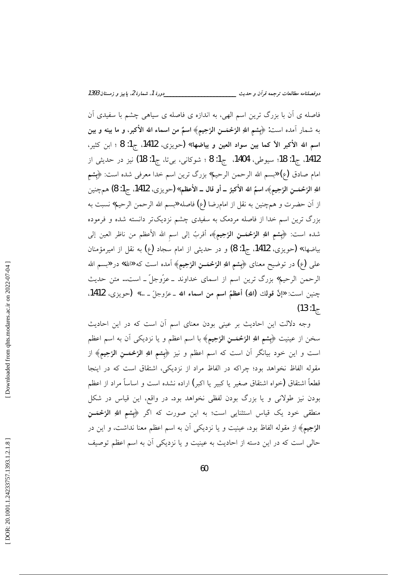فاصله ی اَن با بزرگ ترین اسم الهی، به اندازه ی فاصله ی سیاهی چشم با سفیدی اَن به شمار آمده است: ﴿بِشم اللهِ الرَّحْمَــن الرَّحِيمِ﴾ اسمٌ من اسماء الله الأكبر، و ما بينه و بين اسم الله الأكبر الأكما بين سواد العين و بياضها.» (حويزي، 1412، ج1: 8 ؛ ابن كثير، 1412، ج1: 18؛ سيوطي، 1404، ج1: 8 ؛ شوكاني، بي تا، ج1: 18) نيز در حديثي از امام صادق (ع) «بسم الله الرحمن الرحيم» بزرگ ترين اسم خدا معرفي شده است: ﴿بِسْمِ اللهِ الرَّحْمَــن الرَّحِيمِ﴾، اسمُ الله الأكبرُ ــ أو قال ــ الأعظم.» (حويزي، 1412. ج1: 8) همچنين از آن حضرت و همچنین به نقل از امامرضا (ع) فاصله «بسم الله الرحمن الرحیم» نسبت به بزرگ ترین اسم خدا از فاصله مردمک به سفیدی چشم نزدیکتر دانسته شده و فرموده شده است: ﴿بِسْمِ اللهِ الرَّحْمَــنِ الرَّحِيمِ﴾، أقربُ إلى اسم الله الأعظم من ناظر العين إلى بياضها.» (حويزي، 1412. ج1: 8) و در حديثي از امام سجاد (ع) به نقل از اميرمؤمنان علي (ع) در توضيح معناي ﴿بِشم اللهِ الرَّحْمَــنِ الرَّحِيمِ﴾ آمده است که «الله» در «بسم الله الرحمن الرحيم» بزرگ ترين اسم از اسماي خداوند \_عزّوجلّ \_ است… متن حديث چنين است: «إنَّ قولك (اللهِ) أعظمُ اسم من اسماء الله \_عزَّوجلّ \_ …» (حويزي، 1412.  $(13:1)$ 

وجه دلالت این احادیث بر عینی بودن معنای اسم آن است که در این احادیث سخن از عینیت ﴿بِشم اللهِ الرَّحْمَــنِ الرَّحِيمِ﴾ با اسم اعظم و یا نزدیکی آن به اسم اعظم است و این خود بیانگر آن است که اسم اعظم و نیز ﴿**بِسْمِ اللهِ الرَّحْمَــنِ الرَّحِیمِ﴾** از مقوله الفاظ نخواهد بود؛ چراكه در الفاظ مراد از نزديكي، اشتقاق است كه در اينجا قطعاً اشتقاق (خواه اشتقاق صغیر یا کبیر یا اکبر) اراده نشده است و اساساً مراد از اعظم بودن نیز طولانی و یا بزرگ بودن لفظی نخواهد بود. در واقع، این قیاس در شکل منطقی خود یک قیاس استثنایی است؛ به این صورت که اگر ﴿بِشم اللهِ الرَّحْمَــن الرَّحِيمِ﴾ از مقوله الفاظ بود، عينيت و يا نزديكي آن به اسم اعظم معنا نداشت، و اين در حالي است كه در اين دسته از احاديث به عينيت و يا نزديكي أن به اسم اعظم توصيف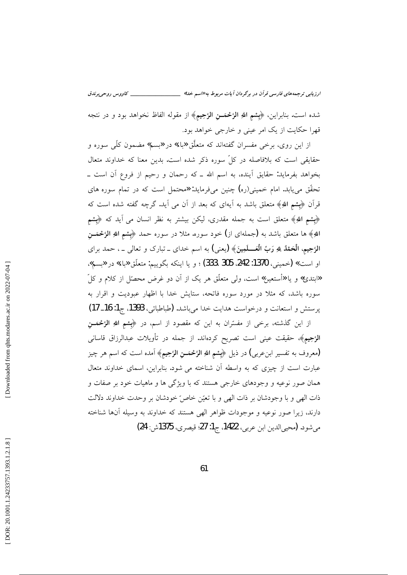ارزیابی ترجمههای فارسی قرآن در برگردان آیات مربوط به «اسم خدا» \_\_

شده است. بنابراين، ﴿بِشم اللهِ الرَّحْمَــن الرَّحِيمِ﴾ از مقوله الفاظ نخواهد بود و در نتجه قهرا حکایت از یک امر عینی و خارجی خواهد بود.

از این روی، برخی مفسران گفتهاند که متعلَّق «باء» در «بسم» مضمون کلِّی سوره و حقایقی است که بلافاصله در کلّ سوره ذکر شده است. بدین معنا که خداوند متعال بخواهد بفرماید: حقایق آینده، به اسم الله ـ که رحمان و رحیم از فروع آن است ــ تحقُّق می،یابد. امام خمینی(ره) چنین میفرماید: «محتمل است که در تمام سوره های قرآن ﴿بِشمِ اللَّهِ﴾ متعلق باشد به آيهاي كه بعد از آن مي آيد. گرچه گفته شده است كه ﴿بِشْمِ اللَّهِ﴾ متعلق است به جمله مقدري، ليكن بيشتر به نظر انسان مي آيد كه ﴿بِشْمِ اللهِ﴾ ها متعلق باشد به (جملهای از) خود سوره. مثلا در سوره حمد ﴿بِشْمِ اللهِ الرَّحْمَـــنِ الرَّحِيمِ، الْحَمْدُ لِلهِ رَبِّ الْعَـــلَمِينَ﴾ (يعني) به اسم خداي \_ تبارک و تعالى \_ ، حمد براي او است.» (خميني، 1370: 242، 305، 333) ؛ و يا اينكه بگوييم: متعلّق «باء» در «بسم». «ابتدئ» و یا «أستعین» است، ولی متعلّق هر یک از آن دو غرض محصّل از کلام و کلّ سوره باشد، که مثلاً در مورد سوره فاتحه، ستایش خدا با اظهار عبودیت و اقرار به پرستش و استعانت و درخواست هدایت خدا میباشد. (طباطبائی، 1393، ج1: 16\_ 17) از این گذشته، برخی از مفسّران به این که مقصود از اسم، در ﴿بِشم اللهِ الرَّحْمَــنِ

الرَّحِيمِ﴾ حقيقت عيني است تصريح كردهاند. از جمله در تأويلات عبدالرزاق قاساني (معروف به تفسير ابنءربي) در ذيل ﴿بِسْمِ اللهِ الرَّحْمَــنِ الرَّحِيمِ﴾ آمده است كه اسم هر چيز عبارت است از چیزی که به واسطه آن شناخته می شود. بنابراین، اسمای خداوند متعال همان صور نوعیه و وجودهای خارجی هستند که با ویژگی ها و ماهیات خود بر صفات و ذات الهي و با وجودشان بر ذات الهي و با تعيّن خاصٌ خودشان بر وحدت خداوند دلالت دارند، زیرا صور نوعیه و موجودات ظواهر الهی هستند که خداوند به وسیله آنها شناخته مي شود. (محيى الدين ابن عربي، 1422، ج1: 27 قيصري، 1375ش: 24)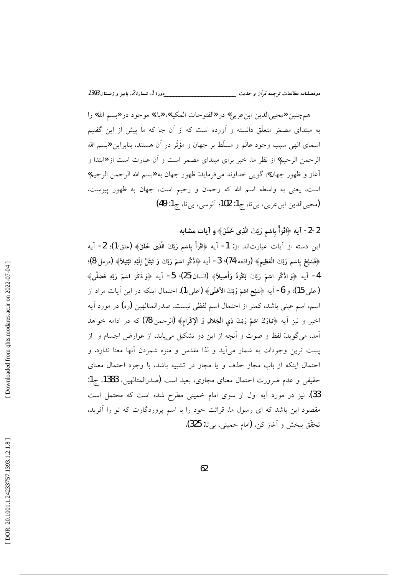همچنين «محيي|لدين ابن عربي» در «الفتوحات المكية»، «باء» موجود در «بسم الله» را به مبتدای مضمَر متعلّق دانسته و آورده است که از آن جا که ما پیش از این گفتیم اسمای الهی سبب وجود عالَم و مسلِّط بر جهان و مؤثَّر در آن هستند، بنابراین «بسم الله الرحمن الرحيم» از نظر ما، خبر براي مبتداي مضمر است و آن عبارت است از «ابتدا و آغاز و ظهور جهان» گويبي خداوند ميفرمايد: ظهور جهان به «بسم الله الرحمن الرحيم» است، يعني به واسطه اسم الله كه رحمان و رحيم است، جهان به ظهور پيوست. (محيى الدين ابن عربي، بي تا، ج1: 102؛ آلوسي، بي تا، ج1: 49)

2-2- آيه ﴿اقْرَأْ بِاسْمِ رَبِّكَ الَّذِي خَلَقَ﴾ و آيات مشابه

اين دسته از آيات عبارتاند از: 1- آيه ﴿اقْرَأْ بِاسْمِ رَبِّكَ الَّذِي خَلَقَ﴾ (علق/1)؛ 2- آيه ﴿فَسَبِّحْ بِاسْمِ رَبِّكَ الْعَظِيمِ﴾ (واقعه/74)؛ 3- آيه ﴿اذْكُرِ اسْمَ رَبِّكَ وَ تَبَتَّلْ إِلَيْهِ تَبْتِيلاً﴾ (مزمل/8)؛ 4- آيه ﴿وَاذْكُرِ اسْمَ رَبِّكَ بُكْرَةً وَأَصِيلاً﴾ (انسان/25)؛ 5- آيه ﴿وَذَكَرَ اسْمَ رَبِّهِ فَصَلَّى﴾ (اعلى/15)؛ و 6- آيه ﴿سَبِّح اشمَ رَبِّكَ الأَعْلَى﴾ (اعلى/1). احتمال اينكه در اين آيات مراد از اسم، اسم عيني باشد، كمتر از احتمال اسم لفظي نيست. صدرالمتالهين (ره) در مورد آيه اخيرٍ و نيزٍ أيه ﴿تِبارَكَ اسْمُ رَبِّكَ فِي الْجَلالِ وَ الْإِكْرامِ﴾ (الرحمن/78) كه در ادامه خواهد آمد، می گوید: لفظ و صوت و آنچه از این دو تشکیل می پابد، از عوارض اجسام و از يست ترين وجودات به شمار مي آيد و لذا مقدس و منزه شمردن أنها معنا ندارد. و احتمال اینکه از باب مجاز حذف و یا مجاز در تشبیه باشد، با وجود احتمال معنای حقيقى و عدم ضرورت احتمال معناى مجازى، بعيد است (صدرالمتالهين، 1383، ج1: 33). نیز در مورد آیه اول از سوی امام خمینی مطرح شده است که محتمل است مقصود این باشد که ای رسول ما، قرائت خود را با اسم پروردگارت که تو را آفرید، تحقّق ببخش و آغاز كن. (امام خميني، بي تا: 325).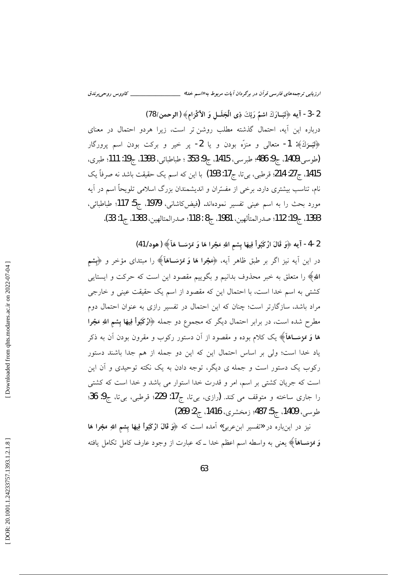2-3- آيه ﴿تَبَــارَكَ اسْمُ رَبِّكَ ذِي الْجَلَــلِ وَ الأكْرَامِ﴾ (الرحمن/78) درباره این آیه، احتمال گذشته مطلب روشن تر است، زیرا هردو احتمال در معنای ﴿تَبَــرَكَ﴾: 1- متعالى و منزَّه بودن و يا 2- پر خير و بركت بودن اسم پرورگار (طوسى،1409، ج9: 486؛ طبرسي، 1415، ج9: 353 ؛ طباطبائي، 1393، ج19: 111؛ طبرى، 1415، ج21: 214: قرطبي، بي تا، ج17: 193) با اين كه اسم يك حقيقت باشد نه صرفاً يك نام، تناسب بیشتری دارد. برخی از مفسّران و اندیشمندان بزرگ اسلامی تلویحاً اسم در آیه مورد بحث را به اسم عینی تفسیر نمودهاند. (فیضSاشانی، 1979، ج5: 117؛ طباطبائی، 1393، ج19: 112؛ صدرالمتألهين، 1981، ج8 : 118؛ صدرالمتالهين، 1383، ج1: 33).

2-4- آيه ﴿وَ قَالَ ارْكَبُواْ فِيهَا بِسْمِ اللهِ مَجْرا هَا وَ مُرْسَــا هَآ﴾ (هود/ 41)

در این آیه نیز اگر بر طبق ظاهر آیه، ﴿مَعْجُرًا هَا وَ مُؤسَــاهَآ﴾ را مبتدای مؤخر و ﴿بِسْم اللهِ﴾ را متعلق به خبر محذوف بدانیم و بگوییم مقصود این است که حرکت و ایستایی کشتی به اسم خدا است، با احتمال این که مقصود از اسم یک حقیقت عینی و خارجی مراد باشد، سازگارتر است؛ چنان که این احتمال در تفسیر رازی به عنوان احتمال دوم مطرح شده است، در برابر احتمال دیگر که مجموع دو جمله ﴿ارْکَبُواْ فِیهَا بِسْمِ اللهِ مَجْرا هَا وَ مُؤسَــاهَآ﴾ یک کلام بوده و مقصود از اَن دستور رکوب و مقرون بودن اَن به ذکر یاد خدا است؛ ولی بر اساس احتمال این که این دو جمله از هم جدا باشند دستور رکوب یک دستور است و جمله ی دیگر، توجه دادن به یک نکته توحیدی و آن این است که جریان کشتی بر اسم، امر و قدرت خدا استوار می باشد و خدا است که کشتی را جاری ساخته و متوقف می کند. (رازی، بیتا، ج17: 229؛ قرطبی، بیتا، ج9: 36؛ طوسي، 1409، ج5: 487؛ زمخشري، 1416، ج2: 269)

نیز در اینباره در «تفسیر ابنِ عربی» آمده است که ﴿وَ قَالَ ازْکَبُواْ فِیهَا بِسْمِ اللهِ مَجْرا هَا وَ مُؤسَــاهَآ﴾ يعني به واسطه اسم اعظم خدا ــ که عبارت از وجود عارف کامل تکامل یافته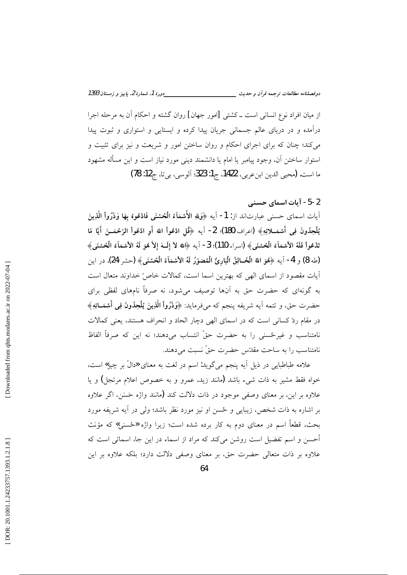از میان افراد نوع انسانی است ــ کشتی [امور جهان] روان گشته و احکام آن به مرحله اجرا درآمده و در دریای عالم جسمانی جریان پیدا کرده و ایستایی و استواری و ثبوت پیدا می کند؛ چنان که برای اجرای احکام و روان ساختن امور و شریعت و نیز برای تثبیت و استوار ساختن آن، وجود پیامبر یا امام یا دانشمند دینی مورد نیاز است و این مسأله مشهود ما است. (محيى الدين ابن عربي، 1422، ج1: 323؛ آلوسي، بي تا، ج12: 78)

#### 2-5- آيات اسماي حسني

أيات اسماي حسني عبارتاند از: 1- أيه ﴿وَلِلَّهِ الأَسْمَاءُ الْحُسْنَى فَادْعُوهُ بِهَا وَذَرُواْ الَّذِينَ يُلْحِدُونَ فِي أَسْمَــلائِهِ﴾ (اعراف/180)؛ 2- آيه ﴿قُل ادْعُواْ اللهَ أَو ادْعُواْ الرَّحْمَــنَ أَيَّا مًا تَدْعُواْ فَلَهُ الأَسْمَاَءُ الْحُسْنَى﴾ (اسراء/110)؛ 3- آيه ﴿اللهُ لاَ إِلَــهَ إِلاَّ هُوَ لَهُ الأشمَاءُ الْحُسْنَى﴾ (طه/8) و 4- آيه ﴿هُوَ اللهُ الْخَـالِقُ الْبَارِئُ الْمُصَوِّرُ لَهُ الأَسْمَاءُ الْحُسْنَى﴾ (حشر/24). در اين آيات مقصود از اسماي الهي كه بهترين اسما است، كمالات خاصّ خداوند متعال است به گونهای که حضرت حق به آنها توصیف میشود، نه صرفاً نامهای لفظی برای حضرت حق، و تتمه أيه شريفه پنجم كه مىفرمايد: ﴿وَذَرُواْ الَّذِينَ يُلْحِدُونَ فِي أَسْمَــائِهِ﴾ در مقام ردّ کسانی است که در اسمای الهی دچار الحاد و انحراف هستند، یعنی کمالات نامتناسب و غيرځسنې را به حضرت حقّ انتساب مي،دهند؛ نه اين كه صرفاً الفاظ نامتناسب را به ساحت مقدِّس حضرت حقٍّ نسبت مي دهند.

علامه طباطبایی در ذیل آیه پنجم میگوید: اسم در لغت به معنای «دالٌ بر چیز» است، خواه فقط مشیر به ذات شیء باشد (مانند زید، عمرو و به خصوص اعلام مرتجل) و یا علاوه بر این، بر معنای وصفی موجود در ذات دلالت کند (مانند واژه حَسَن، اگر علاوه بر اشاره به ذات شخص، زیبایی و ځسن او نیز مورد نظر باشد؛ ولی در آیه شریفه مورد بحث، قطعاً اسم در معناي دوم به كار برده شده است؛ زيرا واژه «حُسني» كه مؤنث أحسن و اسم تفضیل است روشن میکند که مراد از اسماء در این جا، اسمائی است که علاوه بر ذات متعالی حضرت حق، بر معنای وصفی دلالت دارد؛ بلکه علاوه بر این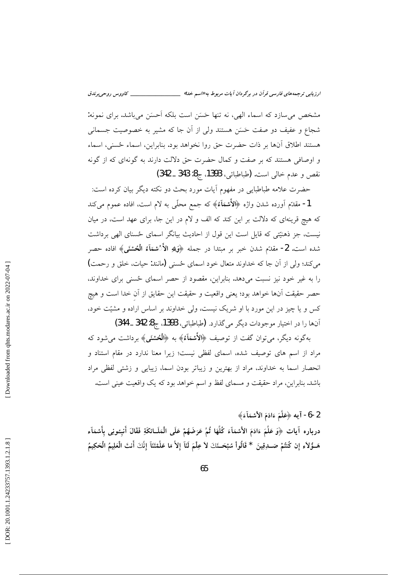ارزیابی ترجمههای فارسی قرآن در برگردان آیات مربوط به «اسم خدا» \_\_\_\_\_\_\_\_\_\_\_\_\_\_\_\_\_ \_\_ كاووس روحىبرندق

مشخص می سازد که اسماء الهی، نه تنها حَسَن است بلکه اَحسَن می باشد. برای نمونه: شجاع و عفیف دو صفت حَسَن هستند ولی از اَن جا که مشیر به خصوصیت جسمانی هستند اطلاق آنها بر ذات حضرت حق روا نخواهد بود. بنابراين، اسماء حُسنى، اسماء و اوصافی هستند که بر صفت و کمال حضرت حق دلالت دارند به گونهای که از گونه نقص و عدم خالي است. (طباطبائي، 1393، ج8: 343 \_ 342)

حضرت علامه طباطبایی در مفهوم آیات مورد بحث دو نکته دیگر بیان کرده است: 1- مقدّم آورده شدن واژه ﴿الأَشمَاءَ﴾ که جمع محلّمی به لام است، افاده عموم میکند که هیچ قرینهای که دلالت بر این کند که الف و لام در این جا، برای عهد است، در میان نیست، جز ذهنیّتی که قایل است این قول از احادیث بیانگر اسمای حُسنای الهی برداشت شده است. 2- مقدّم شدن خبر بر مبتدا در جمله ﴿وَلِلَّهِ الأَرْسُمَاءُ الْحُسْنَى﴾ افاده حصر میکند؛ ولی از آن جا که خداوند متعال خود اسمای حُسنی (مانند: حیات، خلق و رحمت) را به غیر خود نیز نسبت میدهد. بنابراین، مقصود از حصر اسمای حُسنی برای خداوند، حصر حقيقت آنها خواهد بود؛ يعني واقعيت و حقيقت اين حقايق از آن خدا است و هيچ کس و یا چیز در این مورد با او شریک نیست، ولی خداوند بر اساس اراده و مشیّت خود، آنها را در اختیار موجودات دیگر میگذارد. (طباطبائی، 1393، ج8: 342 ـ 344)

بهگونه دیگر، می توان گفت از توصیف ﴿الأَشْمَاءُ﴾ به ﴿الْحُسْنَى﴾ برداشت می شود که مراد از اسم های توصیف شده، اسمای لفظی نیست؛ زیرا معنا ندارد در مقام استناد و انحصار اسما به خداوند، مراد از بهترین و زیباتر بودن اسما، زیبایی و زشتی لفظی مراد باشد. بنابراین، مراد حقیقت و مسمای لفظ و اسم خواهد بود که یک واقعیت عینی است.

2-6− آيه ﴿عَلَّمَ ءَادَمَ الأَسْمَاَءَ﴾

درباره آيات ﴿وَعَلَّمَ ءَادَمَ الأَسْمَآءَ كُلَّهَا ثُمَّ عَرَضَهُمْ عَلَى الْمَلَـائكَةِ فَقَالَ أَنبِـُونِى بِأَسْمَآء هَــؤُلاَء إِن كُنتُمْ صَــدِقِينَ \* قَالُواْ سُبْحَــنَكَ لاَ عِلْمَ لَنَآ إِلاَّ مَا عَلَّمْتَنَآ إِنَّكَ أنتَ الْعَلِيمُ الْحَكِيمُ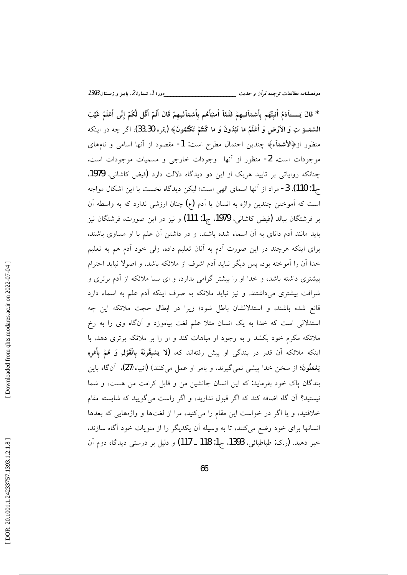\* قَالَ يَـــــَادَمُ أَنبُّهُم بأَسْمَاَئِـهِمْ فَلَمَّاَ أَمنبَأَهُم بأَسْمَاَلِـهِمْ قَالَ أَلَمْ أَقُل لَّكُمْ إِنِّى أَعْلَمُ غَيْبَ السَّمَـــوَ تِ وَ الأَرْضِ وَ أَعْلَمُ مَا تُبْدُونَ وَ مَا كُنتُمْ تَكْتُمُونَ﴾ (يقره/30ـ33)، اگر چه در اينكه منظور از﴿الاسْمَآء﴾ چندین احتمال مطرح است: 1- مقصود از آنها اسامی و نامهای موجودات است. 2- منظور از آنها وجودات خارجي و مسميات موجودات است. چنانکه روایاتی بر تایید هریک از این دو دیدگاه دلالت دارد (فیض کاشانی، 1979. ج1: 110). 3- مراد از أنها اسماي الهي است؛ ليكن ديدگاه نخست با اين اشكال مواجه است که آموختن چندین واژه به انسان یا آدم (ع) چنان ارزشی ندارد که به واسطه آن بر فرشتگان ببالد (فیض کاشانی، 1979، ج1: 111) و نیز در این صورت، فرشتگان نیز باید مانند آدم دانای به آن اسماء شده باشند، و در داشتن آن علم با او مساوی باشند، برای اینکه هرچند در این صورت آدم به آنان تعلیم داده، ولی خود آدم هم به تعلیم خدا آن را آموخته بود. پس دیگر نباید آدم اشرف از ملائکه باشد، و اصولا نباید احترام بیشتری داشته باشد، و خدا او را بیشتر گرامی بدارد، و ای بسا ملائکه از آدم برتری و شرافت بیشتری میداشتند. و نیز نباید ملائکه به صرف اینکه آدم علم به اسماء دارد قانع شده باشند، و استدلالشان باطل شود؛ زيرا در ابطال حجت ملائكه اين چه استدلالی است که خدا به یک انسان مثلا علم لغت بیاموزد و آنگاه وی را به رخ ملائکه مکرم خود بکشد و به وجود او مباهات کند و او را بر ملائکه برتری دهد، با اينكه ملائكه آن قدر در بندگى او پيش رفتهاند كه، **(لا يَسْبِقُونَهُ بِالْقَوْلِ وَ هُمْ بِأَمْرِ**هِ يَعْمَلُونَ؛ از سخن خدا پيشي نمي گيرند، و بامر او عمل مي كنند) (انبياء/27)، آنگاه باين بندگان یاک خود بفرماید: که این انسان جانشین من و قابل کرامت من هست، و شما نیستید؟ آن گاه اضافه کند که اگر قبول ندارید، و اگر راست می گویید که شایسته مقام خلافتید، و یا اگر در خواست این مقام را میکنید، مرا از لغتها و واژههایی که بعدها انسانها برای خود وضع میکنند، تا به وسیله آن یکدیگر را از منویات خود آگاه سازند. خبر دهيد. (ر.ک: طباطبائي، 1393، ج1: 118 \_ 117) و دليل بر درستي ديدگاه دوم آن

Downloaded from qhts.modares.ac.ir on 2022-07-04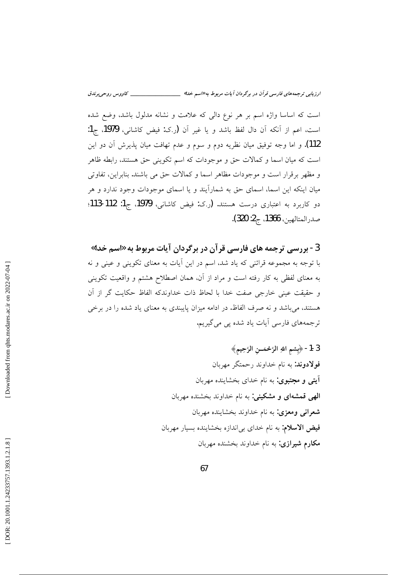است که اساسا واژه اسم بر هر نوع دالی که علامت و نشانه مدلول باشد، وضع شده است، اعم از آنكه آن دال لفظ باشد و يا غير آن (رک: فيض کاشاني، 1979، ج1: 112). و اما وجه توفيق ميان نظريه دوم و سوم و عدم تهافت ميان يذيرش آن دو اين است که میان اسما و کمالات حق و موجودات که اسم تکوینی حق هستند، رابطه ظاهر و مظهر برقرار است و موجودات مظاهر اسما و كمالات حق مى باشند. بنابراين، تفاوتى میان اینکه این اسما، اسمای حق به شمارآیند و یا اسمای موجودات وجود ندارد و هر دو کاربرد به اعتباری درست هستند. (ر.ک: فیض کاشانی، 1979، ج1: 112-113؛ صدرالمتالهين، 1366، ج2: 320).

3 - بررسی ترجمه های فارسی قرآن در برگردان آیات مربوط به «اسم خدا» با توجه به مجموعه قرائنی که یاد شد، اسم در این آیات به معنای تکوینی و عینی و نه به معنای لفظی به کار رفته است و مراد از آن، همان اصطلاح هشتم و واقعیت تکوینی و حقيقت عيني خارجي صفت خدا با لحاظ ذات خداوندكه الفاظ حكايت گر از آن هستند، می باشد و نه صرف الفاظ. در ادامه میزان پایبندی به معنای یاد شده را در برخی ترجمههای فارسی آیات یاد شده یی می گیریم.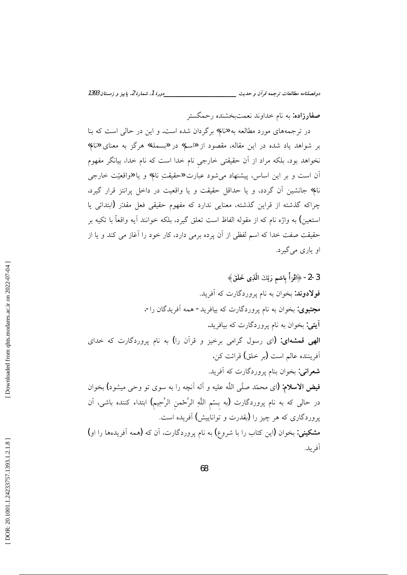**صفارزاده:** به نام خداوند نعمتبخشنده رحمگستر

در ترجمههای مورد مطالعه به «نام» برگردان شده است. و این در حالی است که بنا بر شواهد یاد شده در این مقاله، مقصود از «اسم» در «بسمله» هرگز به معنای «نام» نخواهد بود، بلکه مراد از اَن حقیقتی خارجی نام خدا است که نام خدا، بیانگر مفهوم آن است و بر این اساس، پیشنهاد می شود عبارت «حقیقتِ نام» و یا «واقعیّت خارجی نام» جانشین آن گردد، و یا حداقل حقیقت و یا واقعیت در داخل پرانتز قرار گیرد. چراکه گذشته از قراین گذشته، معنایی ندارد که مفهوم حقیقی فعل مقدّر (ابتدائی یا استعين) به واژه نام كه از مقوله الفاظ است تعلق گيرد، بلكه خوانند آيه واقعاً با تكيه بر حقیقت صفت خدا که اسم لفظی از آن پرده برمی دارد، کار خود را آغاز می کند و یا از او پارې مي گېرد.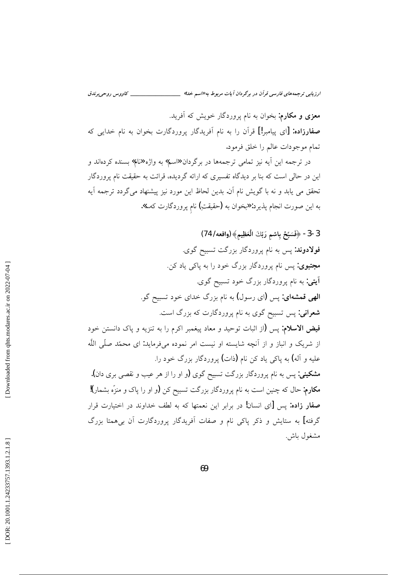معزی و مکارم: بخوان به نام یروردگار خویش که آفرید. صفارزاده: [ای پیامبر!] قرآن را به نام آفریدگار پروردگارت بخوان به نام خدایی که تمام موجودات عالم را خلق فرمود.

در ترجمه این اَیه نیز تمامی ترجمهها در برگردان «اسم» به واژه «نام» بسنده کردهاند و این در حالی است که بنا بر دیدگاه تفسیری که ارائه گردیده، قرائت به حقیقت نام پروردگار تحقق می یابد و نه با گویش نام آن. بدین لحاظ این مورد نیز پیشنهاد میگردد ترجمه آیه به این صورت انجام پذیرد: «بخوان به (حقیقتِ) نام پروردگارت که…».

3-3- ﴿فَسَبِّحْ بِاسْمِ رَبِّكَ الْعَظِيمِ﴾ (واقعه/ 74) فولادوند: پس به نام پروردگار بزرگت تسبیح گوی. مجتبوی: پس نام پروردگار بزرگ خود را به پاک<sub>ی</sub> یاد کن. آ**یتی**: به نام یروردگار بزرگ خود تسبیح گوی. **الهی قمشهای:** پس (ای رسول) به نام بزرگ خدای خود تسبیح گو. **شعرانی:** پس تسبیح گوی به نام پروردگارت که بزرگ است. فيض الاسلام: يس (از اثبات توحيد و معاد ييغمبر اكرم را به تنزيه و ياك دانستن خود از شریک و انباز و از آنچه شایسته او نیست امر نموده میفرماید: ای محمّد صلّی اللّه عليه و آله) به پاک<sub>ی</sub> ياد کن نام **(**ذات) پروردگار بزرگ خود را. **مشکینی:** پس به نام پروردگار بزرگت تسبیح گوی (و او را از هر عیب و نقصی بری دان). مکارم: حال که چنین است به نام پروردگار بزرگت تسبیح کن (و او را پاک و منزّه بشمار)! صفار زاده: پس [ای انسان! در برابر این نعمتها که به لطف خداوند در اختیارت قرار گرفته] به ستایش و ذکر پاکی نام و صفات آفریدگار پروردگارت آن بی همتا بزرگ مشغول باش.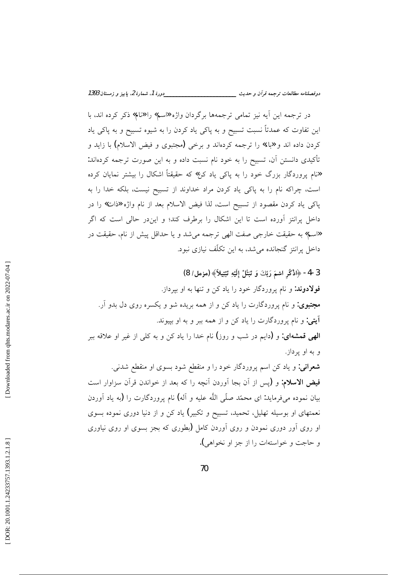در ترجمه این آیه نیز تمامی ترجمهها برگردان واژه «سم» را «نام» ذکر کرده اند، با این تفاوت که عمدتاً نسبت تسبیح و به پاکی یاد کردن را به شیوه تسبیح و به پاکی یاد کردن داده اند و «باء» را ترجمه کردهاند و برخی (مجتبوی و فیض الاسلام) با زاید و تأكيدي دانستن آن، تسبيح را به خود نام نسبت داده و به اين صورت ترجمه كردهاند: «نام پروردگار بزرگ خود را به پاک<sub>ی</sub> یاد کن» که حقیقتاً اشکال را بیشتر نمایان کرده است، چراکه نام را به پاکی یاد کردن مراد خداوند از تسبیح نیست، بلکه خدا را به پاکی یاد کردن مقصود از تسبیح است، لذا فیض الاسلام بعد از نام واژه «ذات» را در داخل پرانتز آورده است تا این اشکال را برطرف کند؛ و ایندر حالی است که اگر «اسم» به حقیقت خارجی صفت الهی ترجمه می شد و یا حداقل پیش از نام، حقیقت در داخل پرانتز گنجانده می شد، به این تکلّف نیازی نبود.

3-4- ﴿اذْكُرِ اسْمَ رَبِّكَ وَ تَبَتَّلْ إِلَيْهِ تَبْتِيلاً﴾ (مزمل/ 8) فولادوند: و نام پروردگار خود را یاد کن و تنها به او بیرداز. مجتبوی: و نام پروردگارت را یاد کن و از همه بریده شو و یکسره روی دل بدو آر. **آيتي:** و نام پروردگارت را ياد كن و از همه ببر و به او بييوند. **الهی قمشهای: و (د**ایم در شب و روز**)** نام خدا را یاد کن و به کل<sub>ی</sub> از غیر او علاقه ببر و به او پرداز. **شعرانی:** و یاد کن اسم پروردگار خود را و منقطع شود بسوی او منقطع شدنی. فیض الاسلام: و (پس از آن بجا آوردن آنچه را که بعد از خواندن قرآن سزاوار است بيان نموده مي فرمايد: اي محمّد صلّي اللّه عليه و آله) نام يووردگارت را (به ياد آوردن نعمتهای او بوسیله تهلیل، تحمید، تسبیح و تکبیر) یاد کن و از دنیا دوری نموده بسوی او روی اَور دوری نمودن و روی اَوردن کامل (بطوری که بجز بسوی او روی نیاوری و حاجت و خواستهات را از جز او نخواهي).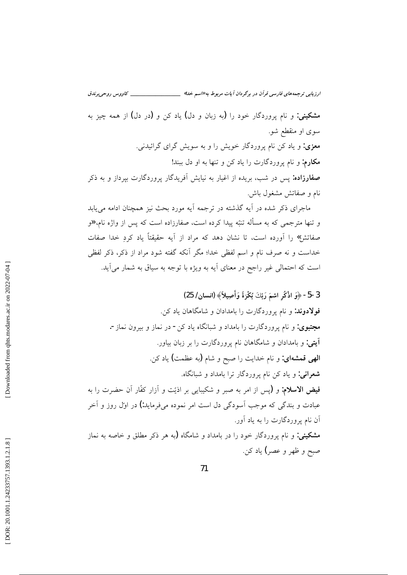**مشکینی:** و نام یروردگار خود را (به زبان و دل) یاد کن و (در دل) از همه چیز به سوی او منقطع شو. **معزی:** و یاد کن نام پروردگار خویش را و به سویش گرای گرائیدنی. **مکارم:** و نام پروردگارت را یاد کن و تنها به او دل ببند! **صفارزاده:** پس در شب، بریده از اغیار به نیایش آفریدگار پروردگارت بپرداز و به ذکر نام و صفاتش مشغول باش.

ماجرای ذکر شده در آیه گذشته در ترجمه آیه مورد بحث نیز همچنان ادامه می پابد و تنها مترجمی که به مسأله تنبّه پیدا کرده است، صفارزاده است که پس از واژه نام، **«**و صفاتش» را آورده است، تا نشان دهد که مراد از آیه حقیقتاً یاد کردِ خدا صفات خداست و نه صرف نام و اسم لفظی خدا؛ مگر آنکه گفته شود مراد از ذکر، ذکر لفظی است که احتمالی غیر راجح در معنای آیه به ویژه با توجه به سیاق به شمار میآید.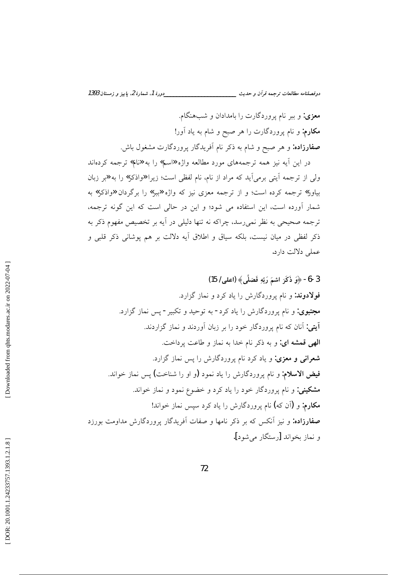معزی: و ببر نام پروردگارت را بامدادان و شبهنگام. **مکارم:** و نام پروردگارت را هر صبح و شام به یاد آور! **صفارزاده:** و هر صبح و شام به ذکر نام اَفریدگار پروردگارت مشغول باش.

در این آیه نیز همه ترجمههای مورد مطالعه واژه «اسم» را به «نام» ترجمه کردهاند ولی از ترجمه آیتی برمیآید که مراد از نام، نام لفظی است؛ زیرا «واذکر» را به «بر زبان بیاور» ترجمه کرده است؛ و از ترجمه معزی نیز که واژه «ببر» را برگردان «واذکر» به شمار آورده است، این استفاده می شود؛ و این در حالی است که این گونه ترجمه، ترجمه صحیحی به نظر نمیرسد، چراکه نه تنها دلیلی در آیه بر تخصیص مفهوم ذکر به ذکر لفظی در میان نیست، بلکه سیاق و اطلاق آیه دلالت بر هم پوشانی ذکر قلبی و عملي دلالت دارد.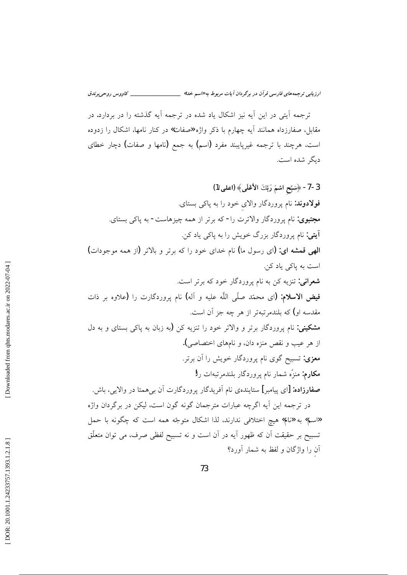ترجمه آیتی در این آیه نیز اشکال یاد شده در ترجمه آیه گذشته را در بردارد. در مقابل، صفارزداه همانند آیه چهارم با ذکر واژه «صفات» در کنار نامها، اشکال را زدوده است، هرچند با ترجمه غیرپایبند مفرد (اسم) به جمع (نامها و صفات) دچار خطای دېگر شده است.

3-7- ﴿سَبِّحِ اسْمَ رَبِّكَ الأَعْلَى﴾ (اعلى/1) فولادوند: نام پروردگار والای خود را به پاکی بستای. مجتبوی: نام پروردگار والاترت را- که برتر از همه چیزهاست- به پاکی بستای. **آيتي:** نام پروردگار بزرگ خويش را به پاکي ياد کن. الهي قمشه اي: (اي رسول ما) نام خداي خود را كه برتر و بالاتر (از همه موجودات) است به ياكي ياد كن. **شعرانی:** تنزیه کن به نام پروردگار خود که برتر است. فيض الاسلام: (اى محمّد صلّى اللّه عليه و آله) نام پروردگارت را (علاوه بر ذات مقدسه او) که بلندم تبهتر از هر چه جز آن است. مشکینی: نام یروردگار برتر و والاتر خود را تنزیه کن (به زبان به یاکی بستای و به دل از هر عيب و نقص منزه دان، و نامهاي اختصاصي). **معزی:** تسبیح گوی نام پروردگار خویش را آن برتر. مكارم: منزٌه شمار نام يروردگار بلندمرتبهات را! **صفارزاده: [**ای پیامبر] ستایندهی نام آفریدگار پروردگارت آن ب<sub>ی</sub>همتا در والایی، باش. در ترجمه این آیه اگرچه عبارات مترجمان گونه گون است، لیکن در برگردان واژه «اسم» به «نام» هیچ اختلافی ندارند، لذا اشکال متوجّه همه است که چگونه با حمل تسبیح بر حقیقت آن که ظهور آیه در آن است و نه تسبیح لفظی صرف، می توان متعلّق آن را واژگان و لفظ به شمار آورد؟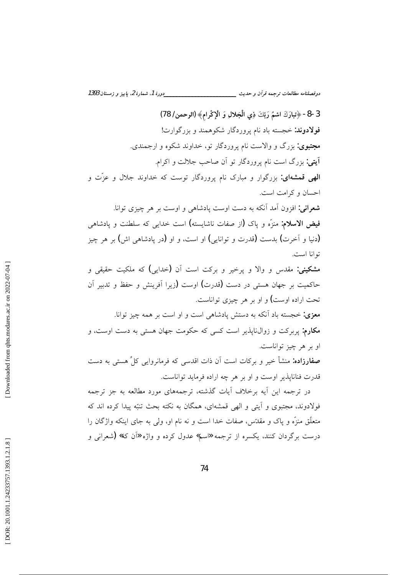دوفصلنامه مطالعات ترجمه قرأن و حديث \_\_\_\_\_\_\_\_\_\_\_\_\_\_

3-8- ﴿تِبارَكَ اسْمُ رَبِّكَ ذِي الْجَلالِ وَ الْإِكْرامِ﴾ (الرحمن/ 78) فولادوند: خجسته باد نام پروردگار شکوهمند و بزرگوارت! مجتبوی: بزرگ و والاست نام پروردگار تو، خداوند شکوه و ارجمندی. آیتی: بزرگ است نام پروردگار تو اَن صاحب جلالت و اکرام. **الهی قمشهای:** بزرگوار و مبارک نام پروردگار توست که خداوند جلال و عزّت و احسان و كرامت است. **شعرانی:** افزون آمد آنکه به دست اوست پادشاهی و اوست بر هر چیزی توانا. فيض الاسلام: منزَه و ياك (از صفات ناشايسته) است خداي<sub>ج</sub> كه سلطنت و يادشاهي (دنیا و اَخرت) بدست (قدرت و توانایی) او است، و او (در یادشاهی اش) بر هر چیز توانا است. مشکینی: مقدس و والا و پرخیر و برکت است آن (خدای<sub>ی</sub>) که ملکیت حقیقی و حاکمیت بر جهان هستی در دست (قدرت) اوست (زیرا آفرینش و حفظ و تدبیر آن تحت اراده اوست) و او بر هر چیزی تواناست. معزی: خجسته باد آنکه به دستش پادشاهی است و او است بر همه چیز توانا. مکارم: پربرکت و زوال:نایذیر است کسی که حکومت جهان هستی به دست اوست، و او بر هر چیز تواناست. **صفارزاده:** منشأ خیر و برکات است اّن ذات اقدسی که فرمانروایی کلِّ هستی به دست قدرت فنانایذیر اوست و او بر هر چه اراده فرماید تواناست.

در ترجمه این آیه برخلاف آیات گذشته، ترجمههای مورد مطالعه به جز ترجمه فولادوند، مجتبوی و آیتی و الهی قمشهای، همگان به نکته بحث تنبّه پیدا کرده اند که متعلَّق منزَّه و ياك و مقدَّس، صفات خدا است و نه نام او، ولي به جاي اينكه واژگان را درست برگردان کنند، یکسره از ترجمه «اسم» عدول کرده و واژه «اَن که» (شعرانی و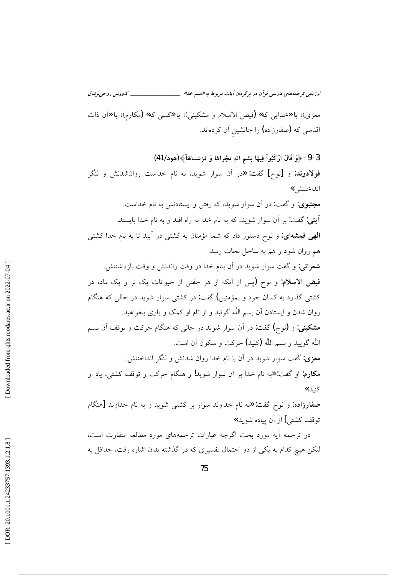معزى)؛ يا «خدايي كه» (فيض الاسلام و مشكيني)؛ يا «كسّي كه» (مكارم)؛ يا «أن ذات اقدسی که (صفارزاده) را جانشین آن کردهاند.

3-9- ﴿وَ قَالَ ارْكَبُواْ فِيهَا بِسْمِ اللهِ مَجْراهَا وَ مُرْسَــاهَاَ﴾ (هود/ 41) فولادوند: و [نوح] گفت: «در آن سوار شوید. به نام خداست روانشدنش و لنگر انداختنش,» مجتبوی: و گفت: در آن سوار شوید، که رفتن و ایستادنش به نام خداست. آيتي: گفت: بر آن سوار شويد، كه به نام خدا به راه افتد و به نام خدا بايستد. **الهی قمشهای:** و نوح دستور داد که شما مؤمنان به کشتی در آیید تا به نام خدا کشتی هم روان شود و هم به ساحل نجات رسد. **شعرانی:** و گفت سوار شوید در آن بنام خدا در وقت راندنش و وقت بازداشتنش. فیض الاسلام: و نوح (پس از آنکه از هر جفتی از حیوانات یک نر و یک ماده در کشتی گذارد به کسان خود و بمؤمنین) گفت: در کشتی سوار شوید در حالی که هنگام روان شدن و ایستادن آن بسم اللَّه گوئید و از نام او کمک و یاری بخواهید. مشکینی: و (نوح) گفت: در آن سوار شوید در حالی که هنگام حرکت و توقف آن بسم اللَّه گوييد و بسم اللَّه (كليد) حركت و سكون آن است. معزی: گفت سوار شوید در آن با نام خدا روان شدنش و لنگر انداختنش. مکارم: او گفت: «به نام خدا بر آن سوار شوید! و هنگام حرکت و توقف کشتی، یاد او كنيد.» صفارزاده: و نوح گفت: «به نام خداوند سوار بر کشتی شوید و به نام خداوند [هنگام توقف كشتى] از آن يياده شويد.»

در ترجمه آیه مورد بحث اگرچه عبارات ترجمههای مورد مطالعه متفاوت است. لیکن هیچ کدام به یکی از دو احتمال تفسیری که در گذشته بدان اشاره رفت، حداقل به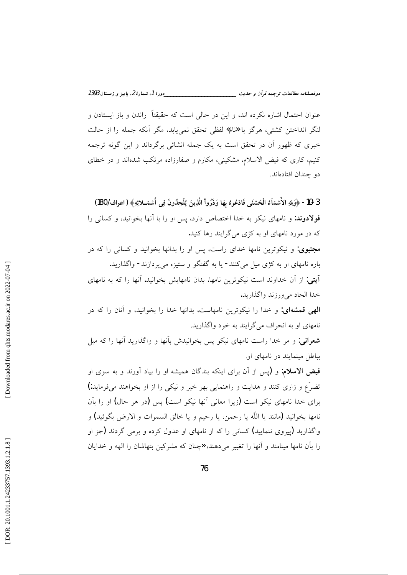\_\_دورهٔ 1، شمارهٔ 2، باییز و زمستان 1393 دوفصلنامه مطالعات ترجمه قرأن و حديث \_\_\_\_\_\_\_\_\_

عنوان احتمال اشاره نکرده اند، و این در حالی است که حقیقتاً راندن و باز ایستادن و لنگر انداختن كشتى، هرگز با «نام» لفظى تحقق نمى يابد، مگر آنكه جمله را از حالت خبری که ظهور آن در تحقق است به یک جمله انشائی برگرداند و این گونه ترجمه کنیم، کاری که فیض الاسلام، مشکینی، مکارم و صفارزاده مرتکب شدهاند و در خطای دو چندان افتادهاند.

3 -10 ﴿وَلِلَّهِ الأَسْمَاءُ الْحُسْنَى فَادْعُوهُ بِهَا وَذَرُواْ الَّذِينَ يُلْحِدُونَ فِي أَسْمَــلائِهِ﴾ (اعراف/ 180) فولادوند: و نامهای نیکو به خدا اختصاص دارد، پس او را با آنها بخوانید، و کسانی را که در مورد نامهای او به کژی می گرایند رها کنید. مجتبوی: و نیکوترین نامها خدای راست، پس او را بدانها بخوانید و کسانی را که در باره نامهای او به کژی میل میکنند- یا به گفتگو و ستیزه میپردازند- واگذارید. آيتي: از آن خداوند است نيكوترين نامها. بدان نامهايش بخوانيد. آنها را كه به نامهاي خدا الحاد مي ورزند واگذاريد. الهی قمشهای: و خدا را نیکوترین نامهاست، بدانها خدا را بخوانید، و آنان را که در نامهای او به انحراف میگرایند به خود واگذارید. **شعرانی:** و مر خدا راست نامهای نیکو پس بخوانیدش بآنها و واگذارید آنها را که میل بباطل مینمایند در نامهای او. فیض الاسلام: و (پس از آن برای اینکه بندگان همیشه او را بیاد آورند و به سوی او تضرَّع و زاری کنند و هدایت و راهنمایی بهر خیر و نیکی را از او بخواهند میفرماید:) برای خدا نامهای نیکو است (زیرا معانی آنها نیکو است) پس (در هر حال) او را بآن نامها بخوانيد (مانند يا اللَّه يا رحمن، يا رحيم و يا خالق السموات و الارض بگوئيد) و واگذارید (پیروی ننمایید) کسانی را که از نامهای او عدول کرده و برمی گردند (جز او را بآن نامها مینامند و آنها را تغییر میدهند، «چنان که مشرکین بتهاشان را الهه و خدایان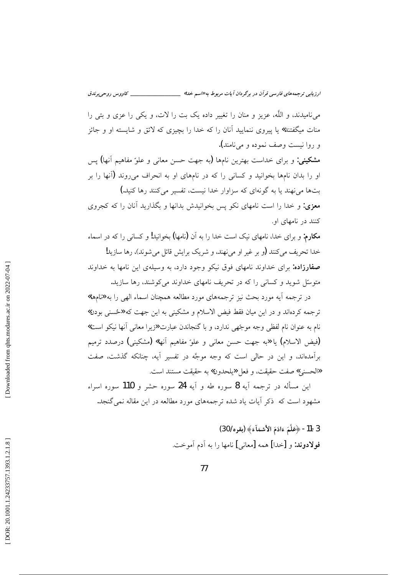ارزیابی ترجمههای فارسی قرآن در برگردان آیات مربوط به «اسم خدا» \_\_\_\_\_\_\_\_\_\_\_\_\_\_\_\_\_ \_\_\_\_ كاووس روحي برندق

م نامبدند، و اللَّه، عزیز و منان را تغییر داده یک بت را لات، و یکی را عزی و بتی را منات میگفتند» یا پیروی ننمایید آنان را که خدا را بچیزی که لائق و شایسته او و جائز و روا نیست وصف نموده و مینامند).

مشکینی: و برای خداست بهترین نامها (به جهت حسن معانی و علوّ مفاهیم آنها) پس او را بدان نامها بخوانید و کسانی را که در نامهای او به انحراف می روند (آنها را بر بتها می نهند یا به گونهای که سزاوار خدا نیست، تفسیر می کنند رها کنید.)

معزی: و خدا را است نامهای نکو پس بخوانیدش بدانها و بگذارید آنان را که کجروی کنند در نامهای او.

**مکارم:** و برای خدا، نامهای نیک است خدا را به آن (نامها) بخوانید! و کسانی را که در اسماء خدا تحریف می کنند (و بر غیر او می نهند، و شریک برایش قائل می شوند)، رها سازید! صفارزاده: برای خداوند نامهای فوق نیکو وجود دارد، به وسیلهی این نامها به خداوند متوسّل شوید و کسانی را که در تجریف نامهای خداوند می کوشند، رها سازید.

در ترجمه آیه مورد بحث نیز ترجمههای مورد مطالعه همچنان اسماء الهی را به «نامها» ترجمه كردهاند و در اين ميان فقط فيض الاسلام و مشكيني به اين جهت كه «حُسنى بودن» نام به عنوان نام لفظي وجه موجّهي ندارد، و با گنجاندن عبارت «زيرا معاني أنها نيكو است» (فيض الاسلام) يا «به جهت حسن معاني و علوّ مفاهيم أنها» (مشكيني) درصدد ترميم برآمدهاند، و این در حالی است که وجه موجَّه در تفسیر آیه، چنانکه گذشت، صفت «الحسني» صفت حقيقت، و فعل «يلحدون» به حقيقت مستند است.

اين مسأله در ترجمه آيه 8 سوره طه و آيه 24 سوره حشر و 110 سوره اسراء مشهود است که ً ذکر آیات یاد شده ترجمههای مورد مطالعه در این مقاله نمی گنجد.

> 3-11- ﴿عَلَّمَ ءَادَمَ الأَسْمَاَءَ﴾ (بقره/ 30) فولادوند: و [خدا] همه [معاني] نامها را به آدم آموخت.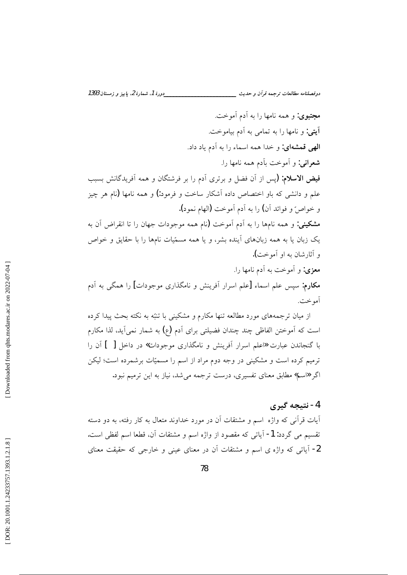دورهٔ 1، شمارهٔ 2، پاییز و زمستان 1393 دوفصلنامه مطالعات ترجمه قرآن و حديث \_\_\_\_\_

مجتبوی: و همه نامها را به آدم آموخت. آيتي: و نامها را به تمامي به آدم بياموخت. **الهي قمشهاي:** و خدا همه اسماء را به آدم ياد داد. **شعرانی:** و اَموخت باَدم همه نامها را. فیض الاسلام: (پس از آن فضل و برتری آدم را بر فرشتگان و همه آفریدگانش بسبب علم و دانشی که باو اختصاص داده آشکار ساخت و فرمود:) و همه نامها (نام هر چیز و خواصٌ و فوائد أن) را به أدم أموخت (الهام نمود). مشکینی: و همه نامها را به آدم آموخت (نام همه موجودات جهان را تا انقراض آن به یک زبان یا به همه زبانهای آینده بشر، و یا همه مسمّیات نامها را با حقایق و خواص و آثارشان به او آموخت). معزى: و أموخت به أدم نامها را. **مکارم:** سپس علم اسماء [علم اسرار اَفرینش و نامگذاری موجودات] را همگی به اَدم

از میان ترجمههای مورد مطالعه تنها مکارم و مشکینی با تنبّه به نکته بحث پیدا کرده است که آموختن الفاظی چند چندان فضیلتی برای آدم (ع) به شمار نمیآید، لذا مکارم با گنجاندن عبارت «اعلم اسرار آفرینش و نامگذاری موجودات» در داخل [ ] آن را ترمیم کرده است و مشکینی در وجه دوم مراد از اسم را مسمیّات برشمرده است؛ لیکن اگر «اسم» مطابق معنای تفسیری، درست ترجمه می شد، نیاز به این ترمیم نبود.

#### 4- نتىجە گىرى

آمو خت.

آیات قرآنی که واژه اسم و مشتقات آن در مورد خداوند متعال به کار رفته، به دو دسته تقسيم مي گردد: 1- آياتي كه مقصود از واژه اسم و مشتقات آن، قطعا اسم لفظي است. 2- آیاتی که واژه ی اسم و مشتقات آن در معنای عینی و خارجی که حقیقت معنای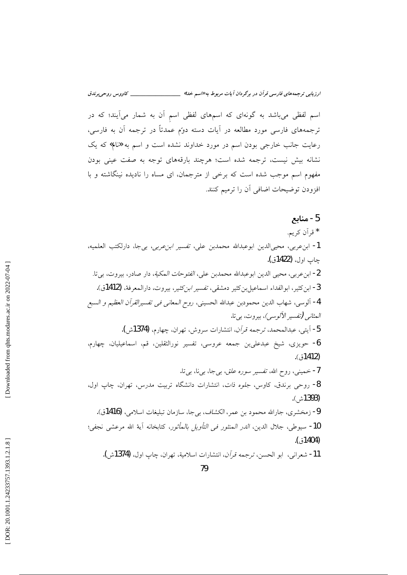اسم لفظی میباشد به گونهای که اسمهای لفظی اسم آن به شمار میآیند؛ که در ترجمههای فارسی مورد مطالعه در آیات دسته دوّم عمدتاً در ترجمه آن به فارسی، رعایت جانب خارجی بودن اسم در مورد خداوند نشده است و اسم به «نام» که یک نشانه بیش نیست، ترجمه شده است؛ هرچند بارقههای توجه به صفت عینی بودن مفهوم اسم موجب شده است که برخی از مترجمان، ای مساه را نادیده نینگاشته و با افزودن توضيحات اضافي أن را ترميم كنند.

5 - منابع \* قرأن كريم. 1- ابن عربي، محيىالدين ابوعبدالله محمدبن علي، *تفسير ابن عربي*، بي جا، دارلكتب العلميه، چاپ اول، (1422ق). 2- ابن عربي، محيى الدين ابوعبدالله محمدبن علي، *الفتوحات المكية*، دار صادر، بيروت، ب<u>ي</u> تا. 3- ابن كثير، ابوالفداء اسماعيل بن كثير دمشقى، تفسير *ابن ك*ثير، بيروت، دارالمعرفة، (1412ق). 4- آلوسي، شهاب الدين محمودبن عبدالله الحسيني، روح *المعاني في تفسيرالقرآن العظيم و السبع المثاني (تفسير الألوسي)*، بيروت، بي تا. 5- آيتي، عبدالمحمد، ترجمه قرآن، انتشارات سروش، تهران، چهارم، (1374ش). 6- حویزی، شیخ عبدعلیبن جمعه عروسی، تفسیر نورالثقلین، قم، اسماعیلیان، چهارم،  $(31412)$ . 7- خمینی، روح الله، تفسیر *سوره علق، بی*جا، بیiا، بیتا. 8- روحی برندق، کاوس، جلوه ذات، انتشارات دانشگاه تربیت مدرس، تهران، چاپ اول، (1393ش). 9- زمخشري، جارالله محمود بن عمر، *الكشاف*، بيجا، سازمان تبليغات اسلامي، (1416ق). 10- سيوطى، جلال الدين، *الدر المنثور في التأويل بالمأثور*، كتابخانه آية الله مرعشى نجفي؛  $(51404)$ 11- شعراني، ابو الحسن، ترجمه قرآن، انتشارات اسلامية، تهران، چاپ اول، (1374ش).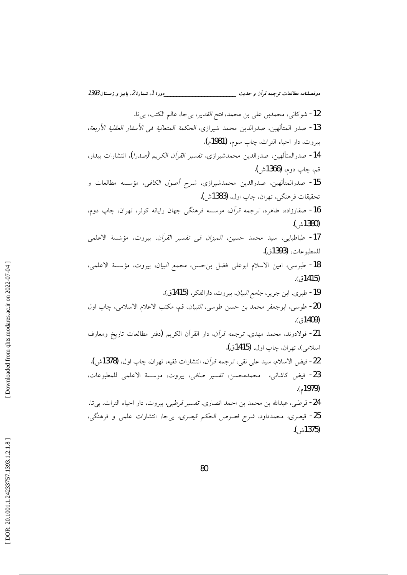12- شوكاني، محمدبن على بن محمد، فتح *القدير*، بيجا، عالم الكتب، بي تا. 13- صدر المتألهين، صدرالدين محمد شيرازي، الحكمة المتعالية في الأسفار العقلية الأربعة، بيروت، دار احياء التراث، چاپ سوم، (1981م). 14- صدرالمتألهين، صدرالدين محمدشيرازي، *تفسير القرآن الكريم (صدرا*)، انتشارات بيدار، قم، ڃاپ دوم، **(1366**ش). 15- صدرالمتألهين، صدرالدين محمدشيرازي، شرح *أصول الكافي*، مؤسسه مطالعات و تحقيقات فرهنگي، تهران، چاپ اول، (1383ش). 16- صفارزاده، طاهره، ترجمه قرأن، موسسه فرهنگی جهان رایانه کوثر، تهران، چاپ دوم، (1380ش). 17- طباطبايي، سيد محمد حسين، *الميزان في تفسير القرآن*، بيروت، مؤسّسة الاعلمي للمطبوعات، (1393ق). 18- طبرسي، امين الاسلام ابوعلى فضل بن حسن، مجمع *البيان*، بيروت، مؤسسة الاعلمي، (1415ق). 19- طبرى، ابن جرير، جامع *البيان*، بيروت، دارالفكر، (1415ق). 20- طوسي، ابوجعفر محمد بن حسن طوسي، *التبيان*، قم، مكتب الاعلام الاسلامي، چاپ اول  $(3409)$ 21- فولادوند، محمد مهدى، ترجمه قر*آن*، دار القرآن الكريم (دفتر مطالعات تاريخ ومعارف اسلامي)، تهران، چاپ اول، (1415ق). 22- فيض الاسلام، سيد على نقي، ترجمه قرآن، انتشارات فقيه، تهران، چاپ اول، (1378ش). 23- فيض كاشاني، محمدمحسن، *تفسير صافي*، بيروت، موسسة الاعلمي للمطبوعات،  $(1979)$ 24- قرطبي، عبدالله بن محمد بن احمد انصاري، *تفسير قرطبي*، بيروت، دار احياء التراث، بي¤. 25- قيصري، محمدداود، شرح فصوص الحكم قيصري، بي جا، انتشارات علمي و فرهنگي، (1375ش).